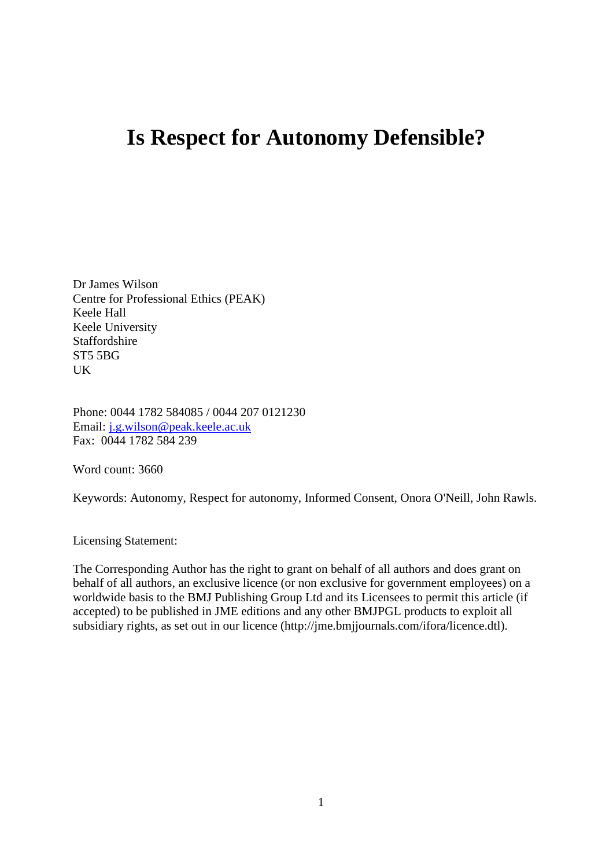# **Is Respect for Autonomy Defensible?**

Dr James Wilson Centre for Professional Ethics (PEAK) Keele Hall Keele University Staffordshire ST5 5BG UK

Phone: 0044 1782 584085 / 0044 207 0121230 Email: j.g.wilson@peak.keele.ac.uk Fax: 0044 1782 584 239

Word count: 3660

Keywords: Autonomy, Respect for autonomy, Informed Consent, Onora O'Neill, John Rawls.

Licensing Statement:

The Corresponding Author has the right to grant on behalf of all authors and does grant on behalf of all authors, an exclusive licence (or non exclusive for government employees) on a worldwide basis to the BMJ Publishing Group Ltd and its Licensees to permit this article (if accepted) to be published in JME editions and any other BMJPGL products to exploit all subsidiary rights, as set out in our licence (http://jme.bmjjournals.com/ifora/licence.dtl).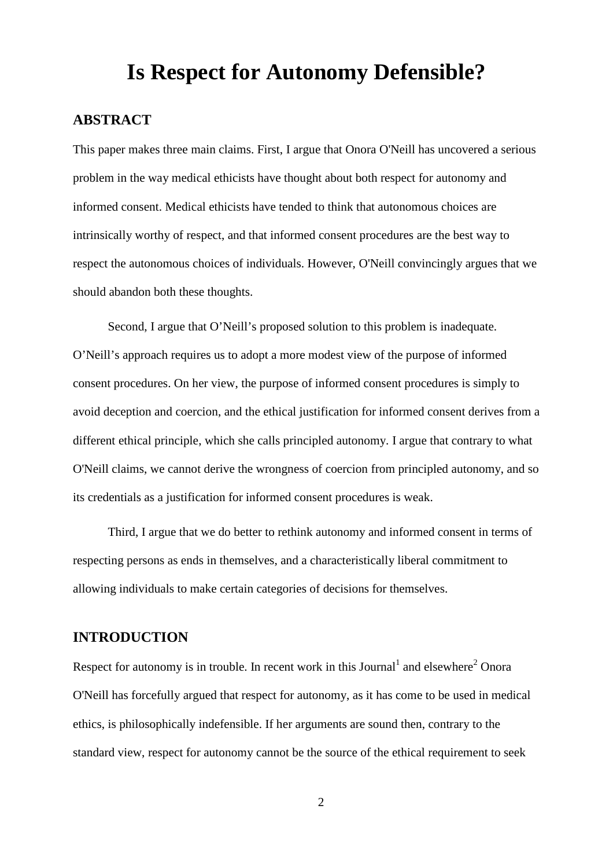## **Is Respect for Autonomy Defensible?**

#### **ABSTRACT**

This paper makes three main claims. First, I argue that Onora O'Neill has uncovered a serious problem in the way medical ethicists have thought about both respect for autonomy and informed consent. Medical ethicists have tended to think that autonomous choices are intrinsically worthy of respect, and that informed consent procedures are the best way to respect the autonomous choices of individuals. However, O'Neill convincingly argues that we should abandon both these thoughts.

Second, I argue that O'Neill's proposed solution to this problem is inadequate. O'Neill's approach requires us to adopt a more modest view of the purpose of informed consent procedures. On her view, the purpose of informed consent procedures is simply to avoid deception and coercion, and the ethical justification for informed consent derives from a different ethical principle, which she calls principled autonomy. I argue that contrary to what O'Neill claims, we cannot derive the wrongness of coercion from principled autonomy, and so its credentials as a justification for informed consent procedures is weak.

Third, I argue that we do better to rethink autonomy and informed consent in terms of respecting persons as ends in themselves, and a characteristically liberal commitment to allowing individuals to make certain categories of decisions for themselves.

#### **INTRODUCTION**

Respect for autonomy is in trouble. In recent work in this Journal<sup>1</sup> and elsewhere<sup>2</sup> Onora O'Neill has forcefully argued that respect for autonomy, as it has come to be used in medical ethics, is philosophically indefensible. If her arguments are sound then, contrary to the standard view, respect for autonomy cannot be the source of the ethical requirement to seek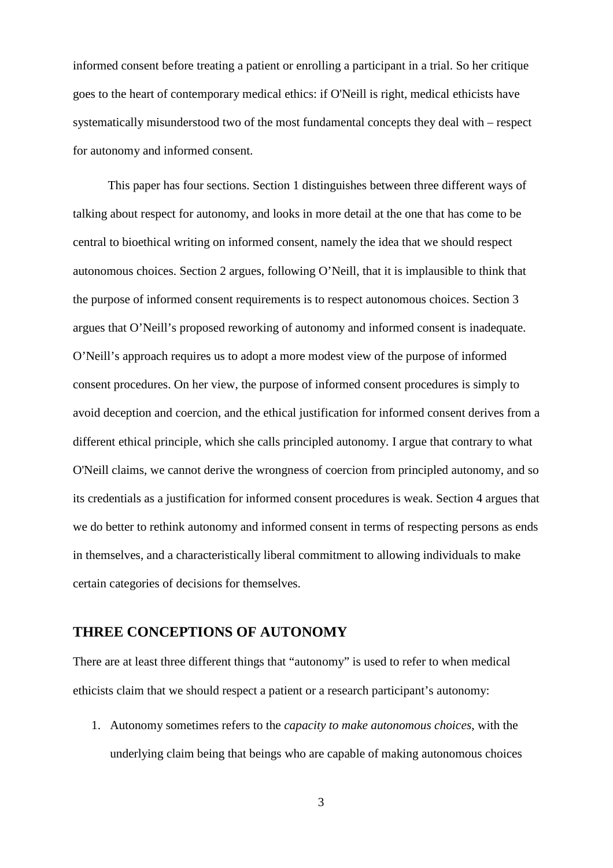informed consent before treating a patient or enrolling a participant in a trial. So her critique goes to the heart of contemporary medical ethics: if O'Neill is right, medical ethicists have systematically misunderstood two of the most fundamental concepts they deal with – respect for autonomy and informed consent.

This paper has four sections. Section 1 distinguishes between three different ways of talking about respect for autonomy, and looks in more detail at the one that has come to be central to bioethical writing on informed consent, namely the idea that we should respect autonomous choices. Section 2 argues, following O'Neill, that it is implausible to think that the purpose of informed consent requirements is to respect autonomous choices. Section 3 argues that O'Neill's proposed reworking of autonomy and informed consent is inadequate. O'Neill's approach requires us to adopt a more modest view of the purpose of informed consent procedures. On her view, the purpose of informed consent procedures is simply to avoid deception and coercion, and the ethical justification for informed consent derives from a different ethical principle, which she calls principled autonomy. I argue that contrary to what O'Neill claims, we cannot derive the wrongness of coercion from principled autonomy, and so its credentials as a justification for informed consent procedures is weak. Section 4 argues that we do better to rethink autonomy and informed consent in terms of respecting persons as ends in themselves, and a characteristically liberal commitment to allowing individuals to make certain categories of decisions for themselves.

#### **THREE CONCEPTIONS OF AUTONOMY**

There are at least three different things that "autonomy" is used to refer to when medical ethicists claim that we should respect a patient or a research participant's autonomy:

1. Autonomy sometimes refers to the *capacity to make autonomous choices*, with the underlying claim being that beings who are capable of making autonomous choices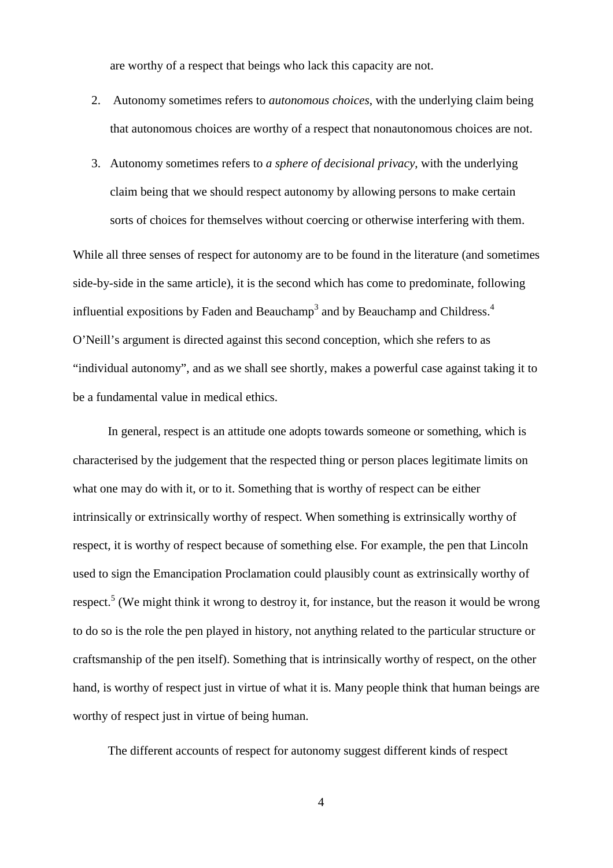are worthy of a respect that beings who lack this capacity are not.

- 2. Autonomy sometimes refers to *autonomous choices*, with the underlying claim being that autonomous choices are worthy of a respect that nonautonomous choices are not.
- 3. Autonomy sometimes refers to *a sphere of decisional privacy*, with the underlying claim being that we should respect autonomy by allowing persons to make certain sorts of choices for themselves without coercing or otherwise interfering with them.

While all three senses of respect for autonomy are to be found in the literature (and sometimes side-by-side in the same article), it is the second which has come to predominate, following influential expositions by Faden and Beauchamp<sup>3</sup> and by Beauchamp and Childress.<sup>4</sup> O'Neill's argument is directed against this second conception, which she refers to as "individual autonomy", and as we shall see shortly, makes a powerful case against taking it to be a fundamental value in medical ethics.

In general, respect is an attitude one adopts towards someone or something, which is characterised by the judgement that the respected thing or person places legitimate limits on what one may do with it, or to it. Something that is worthy of respect can be either intrinsically or extrinsically worthy of respect. When something is extrinsically worthy of respect, it is worthy of respect because of something else. For example, the pen that Lincoln used to sign the Emancipation Proclamation could plausibly count as extrinsically worthy of respect.<sup>5</sup> (We might think it wrong to destroy it, for instance, but the reason it would be wrong to do so is the role the pen played in history, not anything related to the particular structure or craftsmanship of the pen itself). Something that is intrinsically worthy of respect, on the other hand, is worthy of respect just in virtue of what it is. Many people think that human beings are worthy of respect just in virtue of being human.

The different accounts of respect for autonomy suggest different kinds of respect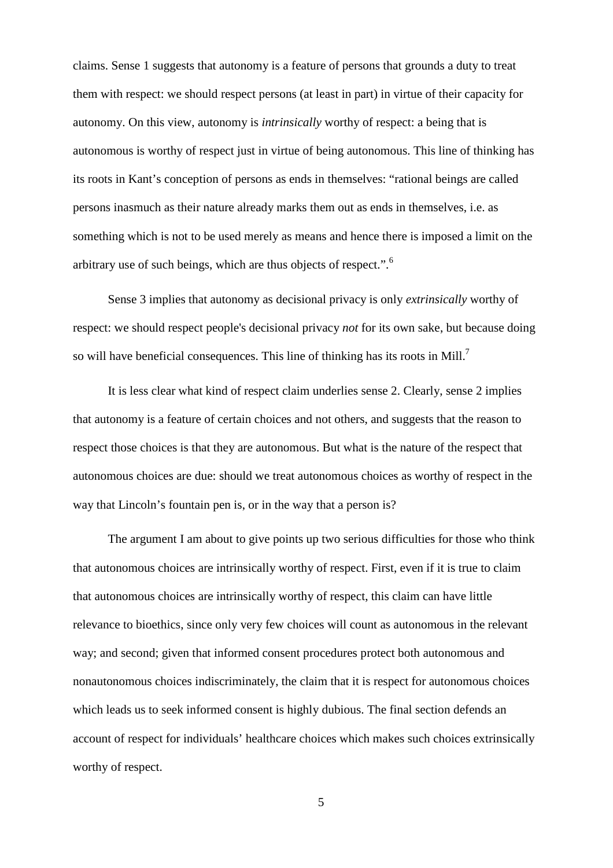claims. Sense 1 suggests that autonomy is a feature of persons that grounds a duty to treat them with respect: we should respect persons (at least in part) in virtue of their capacity for autonomy. On this view, autonomy is *intrinsically* worthy of respect: a being that is autonomous is worthy of respect just in virtue of being autonomous. This line of thinking has its roots in Kant's conception of persons as ends in themselves: "rational beings are called persons inasmuch as their nature already marks them out as ends in themselves, i.e. as something which is not to be used merely as means and hence there is imposed a limit on the arbitrary use of such beings, which are thus objects of respect.".<sup>6</sup>

Sense 3 implies that autonomy as decisional privacy is only *extrinsically* worthy of respect: we should respect people's decisional privacy *not* for its own sake, but because doing so will have beneficial consequences. This line of thinking has its roots in Mill.<sup>7</sup>

It is less clear what kind of respect claim underlies sense 2. Clearly, sense 2 implies that autonomy is a feature of certain choices and not others, and suggests that the reason to respect those choices is that they are autonomous. But what is the nature of the respect that autonomous choices are due: should we treat autonomous choices as worthy of respect in the way that Lincoln's fountain pen is, or in the way that a person is?

The argument I am about to give points up two serious difficulties for those who think that autonomous choices are intrinsically worthy of respect. First, even if it is true to claim that autonomous choices are intrinsically worthy of respect, this claim can have little relevance to bioethics, since only very few choices will count as autonomous in the relevant way; and second; given that informed consent procedures protect both autonomous and nonautonomous choices indiscriminately, the claim that it is respect for autonomous choices which leads us to seek informed consent is highly dubious. The final section defends an account of respect for individuals' healthcare choices which makes such choices extrinsically worthy of respect.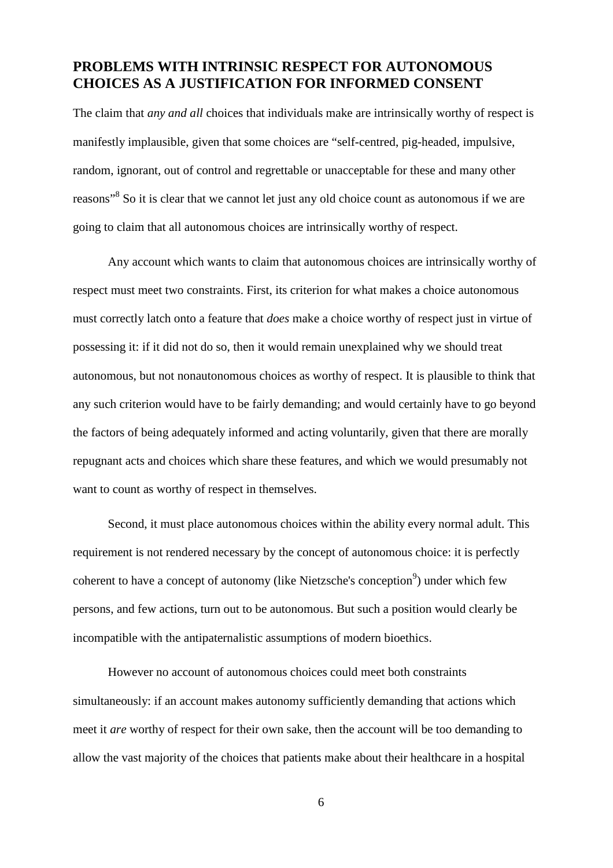## **PROBLEMS WITH INTRINSIC RESPECT FOR AUTONOMOUS CHOICES AS A JUSTIFICATION FOR INFORMED CONSENT**

The claim that *any and all* choices that individuals make are intrinsically worthy of respect is manifestly implausible, given that some choices are "self-centred, pig-headed, impulsive, random, ignorant, out of control and regrettable or unacceptable for these and many other reasons"<sup>8</sup> So it is clear that we cannot let just any old choice count as autonomous if we are going to claim that all autonomous choices are intrinsically worthy of respect.

Any account which wants to claim that autonomous choices are intrinsically worthy of respect must meet two constraints. First, its criterion for what makes a choice autonomous must correctly latch onto a feature that *does* make a choice worthy of respect just in virtue of possessing it: if it did not do so, then it would remain unexplained why we should treat autonomous, but not nonautonomous choices as worthy of respect. It is plausible to think that any such criterion would have to be fairly demanding; and would certainly have to go beyond the factors of being adequately informed and acting voluntarily, given that there are morally repugnant acts and choices which share these features, and which we would presumably not want to count as worthy of respect in themselves.

Second, it must place autonomous choices within the ability every normal adult. This requirement is not rendered necessary by the concept of autonomous choice: it is perfectly coherent to have a concept of autonomy (like Nietzsche's conception<sup>9</sup>) under which few persons, and few actions, turn out to be autonomous. But such a position would clearly be incompatible with the antipaternalistic assumptions of modern bioethics.

However no account of autonomous choices could meet both constraints simultaneously: if an account makes autonomy sufficiently demanding that actions which meet it *are* worthy of respect for their own sake, then the account will be too demanding to allow the vast majority of the choices that patients make about their healthcare in a hospital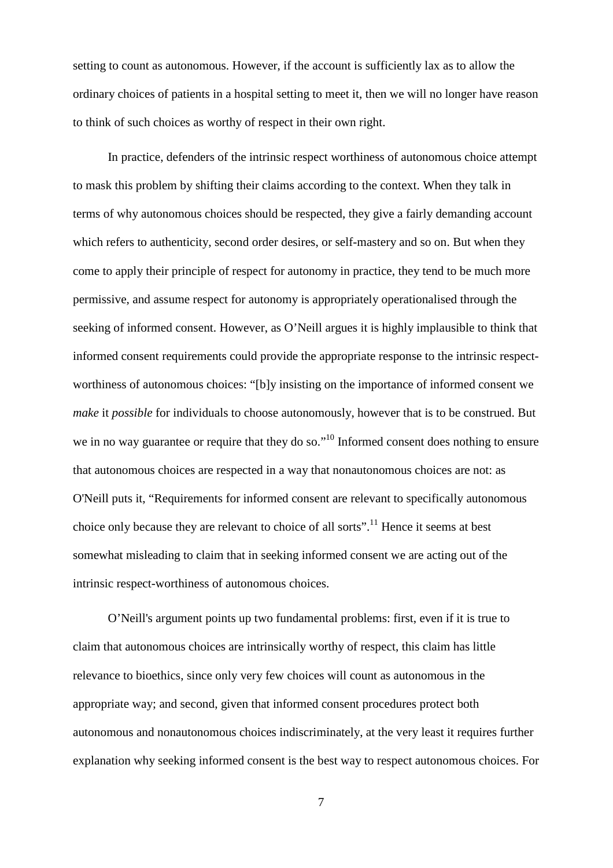setting to count as autonomous. However, if the account is sufficiently lax as to allow the ordinary choices of patients in a hospital setting to meet it, then we will no longer have reason to think of such choices as worthy of respect in their own right.

In practice, defenders of the intrinsic respect worthiness of autonomous choice attempt to mask this problem by shifting their claims according to the context. When they talk in terms of why autonomous choices should be respected, they give a fairly demanding account which refers to authenticity, second order desires, or self-mastery and so on. But when they come to apply their principle of respect for autonomy in practice, they tend to be much more permissive, and assume respect for autonomy is appropriately operationalised through the seeking of informed consent. However, as O'Neill argues it is highly implausible to think that informed consent requirements could provide the appropriate response to the intrinsic respectworthiness of autonomous choices: "[b]y insisting on the importance of informed consent we *make* it *possible* for individuals to choose autonomously, however that is to be construed. But we in no way guarantee or require that they do so."<sup>10</sup> Informed consent does nothing to ensure that autonomous choices are respected in a way that nonautonomous choices are not: as O'Neill puts it, "Requirements for informed consent are relevant to specifically autonomous choice only because they are relevant to choice of all sorts".<sup>11</sup> Hence it seems at best somewhat misleading to claim that in seeking informed consent we are acting out of the intrinsic respect-worthiness of autonomous choices.

O'Neill's argument points up two fundamental problems: first, even if it is true to claim that autonomous choices are intrinsically worthy of respect, this claim has little relevance to bioethics, since only very few choices will count as autonomous in the appropriate way; and second, given that informed consent procedures protect both autonomous and nonautonomous choices indiscriminately, at the very least it requires further explanation why seeking informed consent is the best way to respect autonomous choices. For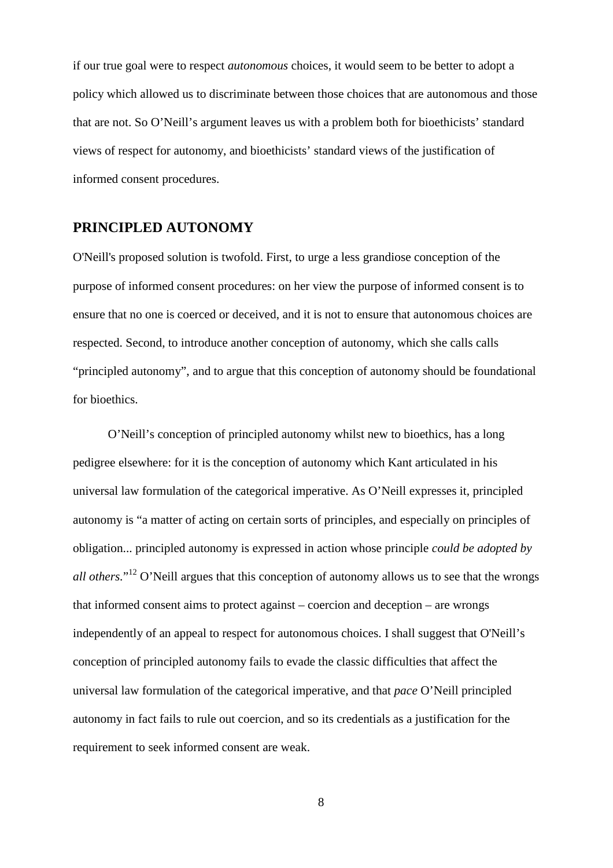if our true goal were to respect *autonomous* choices, it would seem to be better to adopt a policy which allowed us to discriminate between those choices that are autonomous and those that are not. So O'Neill's argument leaves us with a problem both for bioethicists' standard views of respect for autonomy, and bioethicists' standard views of the justification of informed consent procedures.

#### **PRINCIPLED AUTONOMY**

O'Neill's proposed solution is twofold. First, to urge a less grandiose conception of the purpose of informed consent procedures: on her view the purpose of informed consent is to ensure that no one is coerced or deceived, and it is not to ensure that autonomous choices are respected. Second, to introduce another conception of autonomy, which she calls calls "principled autonomy", and to argue that this conception of autonomy should be foundational for bioethics.

O'Neill's conception of principled autonomy whilst new to bioethics, has a long pedigree elsewhere: for it is the conception of autonomy which Kant articulated in his universal law formulation of the categorical imperative. As O'Neill expresses it, principled autonomy is "a matter of acting on certain sorts of principles, and especially on principles of obligation... principled autonomy is expressed in action whose principle *could be adopted by all others.*" <sup>12</sup> O'Neill argues that this conception of autonomy allows us to see that the wrongs that informed consent aims to protect against – coercion and deception – are wrongs independently of an appeal to respect for autonomous choices. I shall suggest that O'Neill's conception of principled autonomy fails to evade the classic difficulties that affect the universal law formulation of the categorical imperative, and that *pace* O'Neill principled autonomy in fact fails to rule out coercion, and so its credentials as a justification for the requirement to seek informed consent are weak.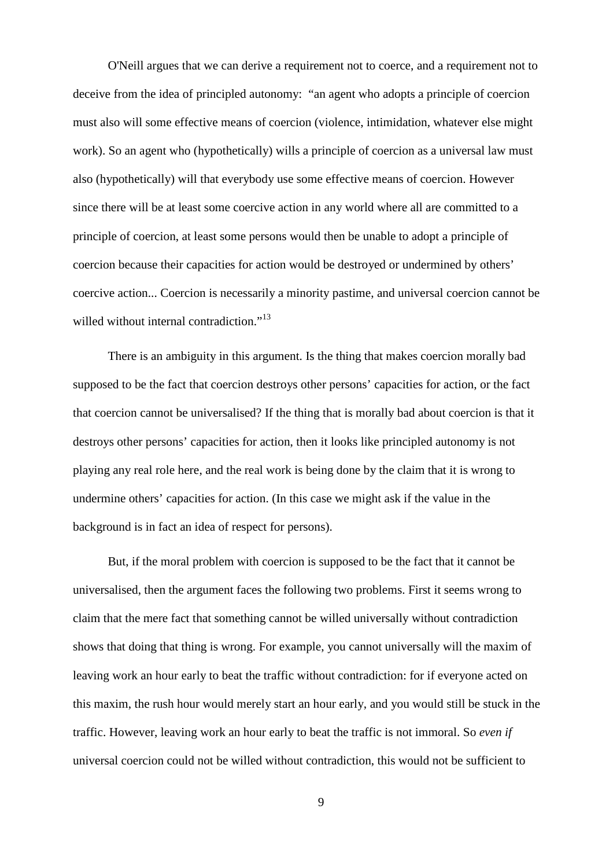O'Neill argues that we can derive a requirement not to coerce, and a requirement not to deceive from the idea of principled autonomy: "an agent who adopts a principle of coercion must also will some effective means of coercion (violence, intimidation, whatever else might work). So an agent who (hypothetically) wills a principle of coercion as a universal law must also (hypothetically) will that everybody use some effective means of coercion. However since there will be at least some coercive action in any world where all are committed to a principle of coercion, at least some persons would then be unable to adopt a principle of coercion because their capacities for action would be destroyed or undermined by others' coercive action... Coercion is necessarily a minority pastime, and universal coercion cannot be willed without internal contradiction."<sup>13</sup>

There is an ambiguity in this argument. Is the thing that makes coercion morally bad supposed to be the fact that coercion destroys other persons' capacities for action, or the fact that coercion cannot be universalised? If the thing that is morally bad about coercion is that it destroys other persons' capacities for action, then it looks like principled autonomy is not playing any real role here, and the real work is being done by the claim that it is wrong to undermine others' capacities for action. (In this case we might ask if the value in the background is in fact an idea of respect for persons).

But, if the moral problem with coercion is supposed to be the fact that it cannot be universalised, then the argument faces the following two problems. First it seems wrong to claim that the mere fact that something cannot be willed universally without contradiction shows that doing that thing is wrong. For example, you cannot universally will the maxim of leaving work an hour early to beat the traffic without contradiction: for if everyone acted on this maxim, the rush hour would merely start an hour early, and you would still be stuck in the traffic. However, leaving work an hour early to beat the traffic is not immoral. So *even if* universal coercion could not be willed without contradiction, this would not be sufficient to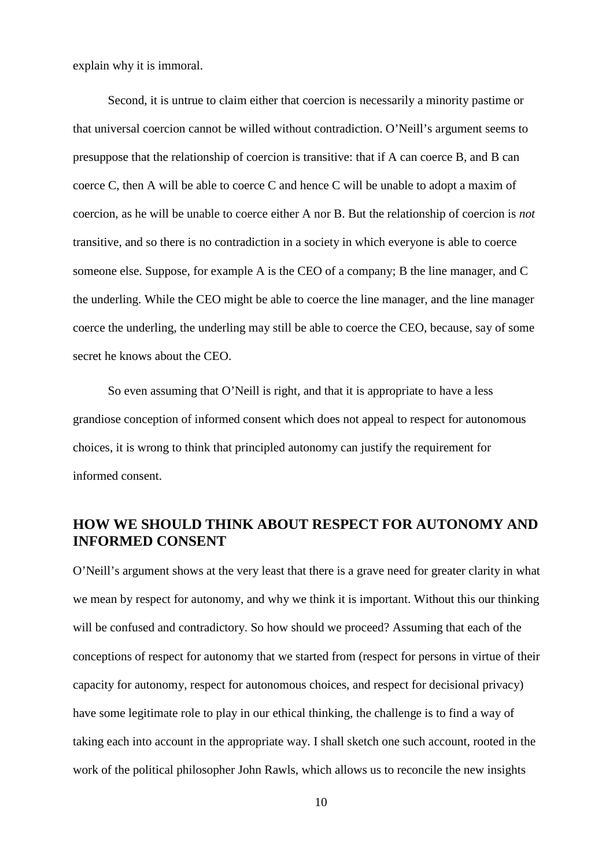explain why it is immoral.

Second, it is untrue to claim either that coercion is necessarily a minority pastime or that universal coercion cannot be willed without contradiction. O'Neill's argument seems to presuppose that the relationship of coercion is transitive: that if A can coerce B, and B can coerce C, then A will be able to coerce C and hence C will be unable to adopt a maxim of coercion, as he will be unable to coerce either A nor B. But the relationship of coercion is *not* transitive, and so there is no contradiction in a society in which everyone is able to coerce someone else. Suppose, for example A is the CEO of a company; B the line manager, and C the underling. While the CEO might be able to coerce the line manager, and the line manager coerce the underling, the underling may still be able to coerce the CEO, because, say of some secret he knows about the CEO.

So even assuming that O'Neill is right, and that it is appropriate to have a less grandiose conception of informed consent which does not appeal to respect for autonomous choices, it is wrong to think that principled autonomy can justify the requirement for informed consent.

## **HOW WE SHOULD THINK ABOUT RESPECT FOR AUTONOMY AND INFORMED CONSENT**

O'Neill's argument shows at the very least that there is a grave need for greater clarity in what we mean by respect for autonomy, and why we think it is important. Without this our thinking will be confused and contradictory. So how should we proceed? Assuming that each of the conceptions of respect for autonomy that we started from (respect for persons in virtue of their capacity for autonomy, respect for autonomous choices, and respect for decisional privacy) have some legitimate role to play in our ethical thinking, the challenge is to find a way of taking each into account in the appropriate way. I shall sketch one such account, rooted in the work of the political philosopher John Rawls, which allows us to reconcile the new insights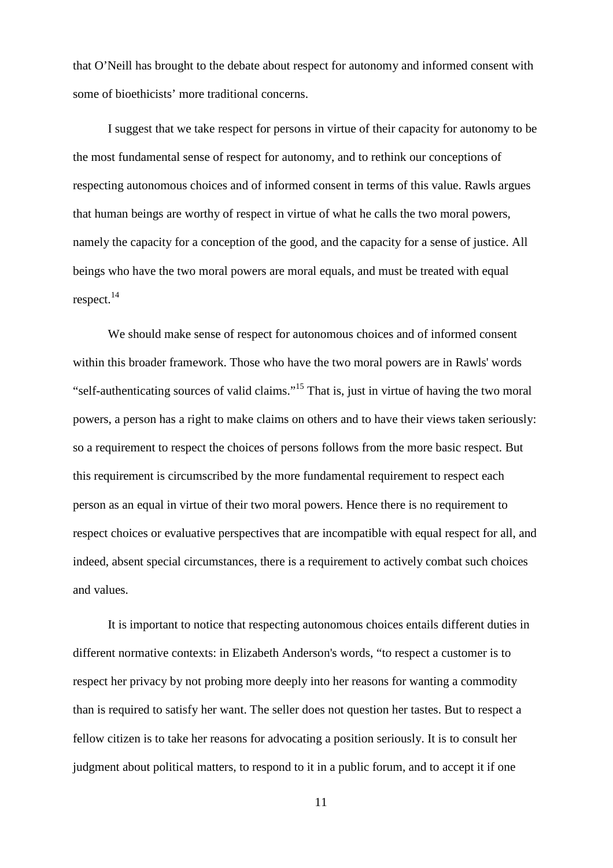that O'Neill has brought to the debate about respect for autonomy and informed consent with some of bioethicists' more traditional concerns.

I suggest that we take respect for persons in virtue of their capacity for autonomy to be the most fundamental sense of respect for autonomy, and to rethink our conceptions of respecting autonomous choices and of informed consent in terms of this value. Rawls argues that human beings are worthy of respect in virtue of what he calls the two moral powers, namely the capacity for a conception of the good, and the capacity for a sense of justice. All beings who have the two moral powers are moral equals, and must be treated with equal respect.<sup>14</sup>

We should make sense of respect for autonomous choices and of informed consent within this broader framework. Those who have the two moral powers are in Rawls' words "self-authenticating sources of valid claims."<sup>15</sup> That is, just in virtue of having the two moral powers, a person has a right to make claims on others and to have their views taken seriously: so a requirement to respect the choices of persons follows from the more basic respect. But this requirement is circumscribed by the more fundamental requirement to respect each person as an equal in virtue of their two moral powers. Hence there is no requirement to respect choices or evaluative perspectives that are incompatible with equal respect for all, and indeed, absent special circumstances, there is a requirement to actively combat such choices and values.

It is important to notice that respecting autonomous choices entails different duties in different normative contexts: in Elizabeth Anderson's words, "to respect a customer is to respect her privacy by not probing more deeply into her reasons for wanting a commodity than is required to satisfy her want. The seller does not question her tastes. But to respect a fellow citizen is to take her reasons for advocating a position seriously. It is to consult her judgment about political matters, to respond to it in a public forum, and to accept it if one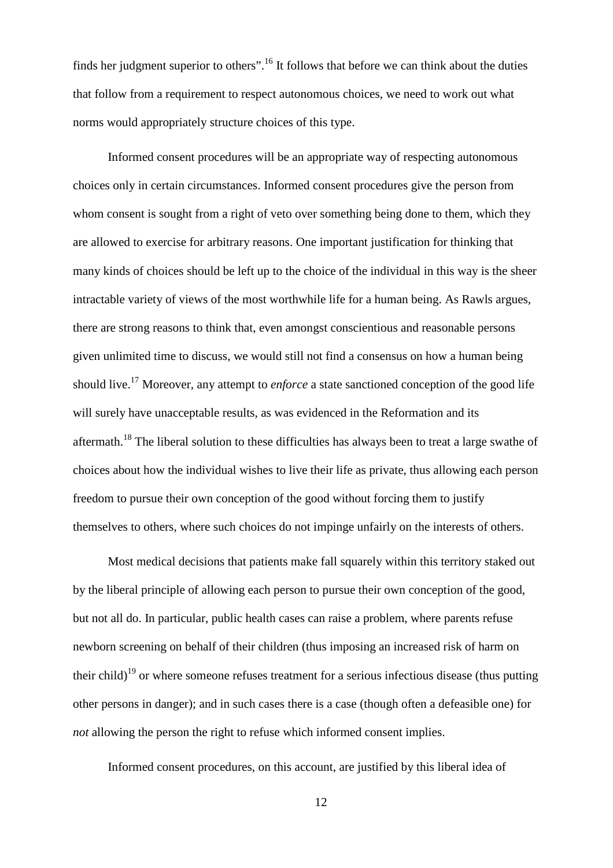finds her judgment superior to others".<sup>16</sup> It follows that before we can think about the duties that follow from a requirement to respect autonomous choices, we need to work out what norms would appropriately structure choices of this type.

Informed consent procedures will be an appropriate way of respecting autonomous choices only in certain circumstances. Informed consent procedures give the person from whom consent is sought from a right of veto over something being done to them, which they are allowed to exercise for arbitrary reasons. One important justification for thinking that many kinds of choices should be left up to the choice of the individual in this way is the sheer intractable variety of views of the most worthwhile life for a human being. As Rawls argues, there are strong reasons to think that, even amongst conscientious and reasonable persons given unlimited time to discuss, we would still not find a consensus on how a human being should live.<sup>17</sup> Moreover, any attempt to *enforce* a state sanctioned conception of the good life will surely have unacceptable results, as was evidenced in the Reformation and its aftermath.<sup>18</sup> The liberal solution to these difficulties has always been to treat a large swathe of choices about how the individual wishes to live their life as private, thus allowing each person freedom to pursue their own conception of the good without forcing them to justify themselves to others, where such choices do not impinge unfairly on the interests of others.

Most medical decisions that patients make fall squarely within this territory staked out by the liberal principle of allowing each person to pursue their own conception of the good, but not all do. In particular, public health cases can raise a problem, where parents refuse newborn screening on behalf of their children (thus imposing an increased risk of harm on their child)<sup>19</sup> or where someone refuses treatment for a serious infectious disease (thus putting other persons in danger); and in such cases there is a case (though often a defeasible one) for *not* allowing the person the right to refuse which informed consent implies.

Informed consent procedures, on this account, are justified by this liberal idea of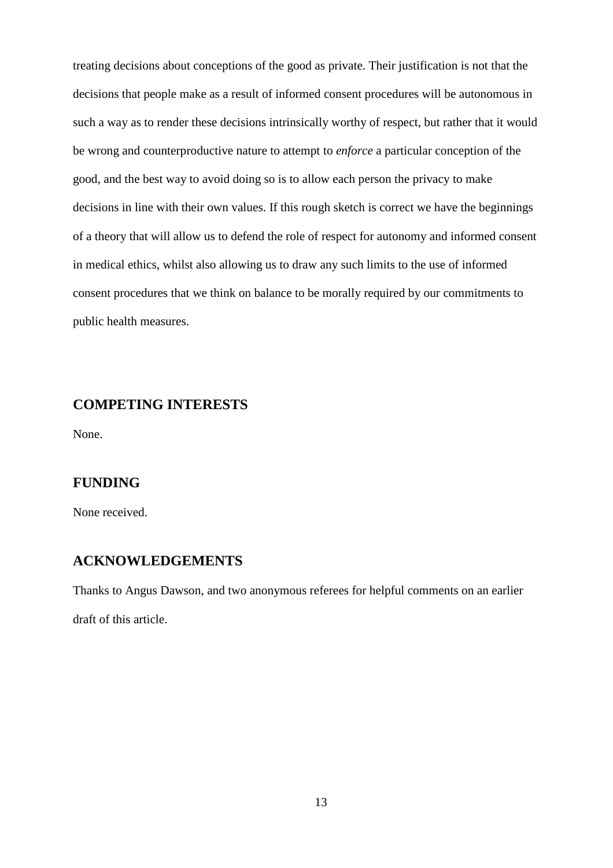treating decisions about conceptions of the good as private. Their justification is not that the decisions that people make as a result of informed consent procedures will be autonomous in such a way as to render these decisions intrinsically worthy of respect, but rather that it would be wrong and counterproductive nature to attempt to *enforce* a particular conception of the good, and the best way to avoid doing so is to allow each person the privacy to make decisions in line with their own values. If this rough sketch is correct we have the beginnings of a theory that will allow us to defend the role of respect for autonomy and informed consent in medical ethics, whilst also allowing us to draw any such limits to the use of informed consent procedures that we think on balance to be morally required by our commitments to public health measures.

## **COMPETING INTERESTS**

None.

### **FUNDING**

None received.

## **ACKNOWLEDGEMENTS**

Thanks to Angus Dawson, and two anonymous referees for helpful comments on an earlier draft of this article.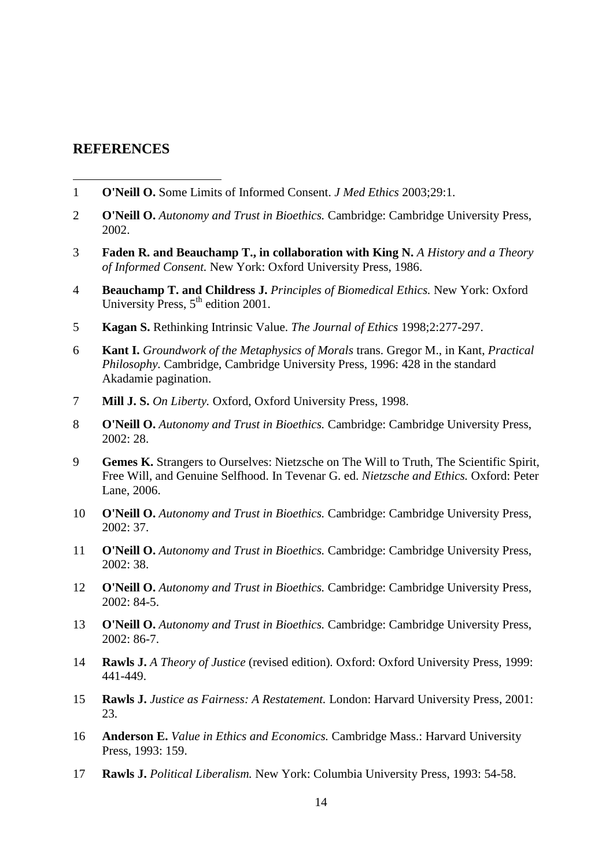#### **REFERENCES**

- 1 **O'Neill O.** Some Limits of Informed Consent. *J Med Ethics* 2003;29:1.
- 2 **O'Neill O.** *Autonomy and Trust in Bioethics.* Cambridge: Cambridge University Press, 2002.
- 3 **Faden R. and Beauchamp T., in collaboration with King N.** *A History and a Theory of Informed Consent.* New York: Oxford University Press, 1986.
- 4 **Beauchamp T. and Childress J.** *Principles of Biomedical Ethics.* New York: Oxford University Press,  $5<sup>th</sup>$  edition 2001.
- 5 **Kagan S.** Rethinking Intrinsic Value. *The Journal of Ethics* 1998;2:277-297.
- 6 **Kant I.** *Groundwork of the Metaphysics of Morals* trans. Gregor M., in Kant, *Practical Philosophy.* Cambridge, Cambridge University Press, 1996: 428 in the standard Akadamie pagination.
- 7 **Mill J. S.** *On Liberty.* Oxford, Oxford University Press, 1998.
- 8 **O'Neill O.** *Autonomy and Trust in Bioethics.* Cambridge: Cambridge University Press, 2002: 28.
- 9 **Gemes K.** Strangers to Ourselves: Nietzsche on The Will to Truth, The Scientific Spirit, Free Will, and Genuine Selfhood. In Tevenar G. ed. *Nietzsche and Ethics.* Oxford: Peter Lane, 2006.
- 10 **O'Neill O.** *Autonomy and Trust in Bioethics.* Cambridge: Cambridge University Press, 2002: 37.
- 11 **O'Neill O.** *Autonomy and Trust in Bioethics.* Cambridge: Cambridge University Press, 2002: 38.
- 12 **O'Neill O.** *Autonomy and Trust in Bioethics.* Cambridge: Cambridge University Press, 2002: 84-5.
- 13 **O'Neill O.** *Autonomy and Trust in Bioethics.* Cambridge: Cambridge University Press,  $2002: 86-7.$
- 14 **Rawls J.** *A Theory of Justice* (revised edition)*.* Oxford: Oxford University Press, 1999: 441-449.
- 15 **Rawls J.** *Justice as Fairness: A Restatement.* London: Harvard University Press, 2001: 23.
- 16 **Anderson E.** *Value in Ethics and Economics.* Cambridge Mass.: Harvard University Press, 1993: 159.
- 17 **Rawls J.** *Political Liberalism.* New York: Columbia University Press, 1993: 54-58.